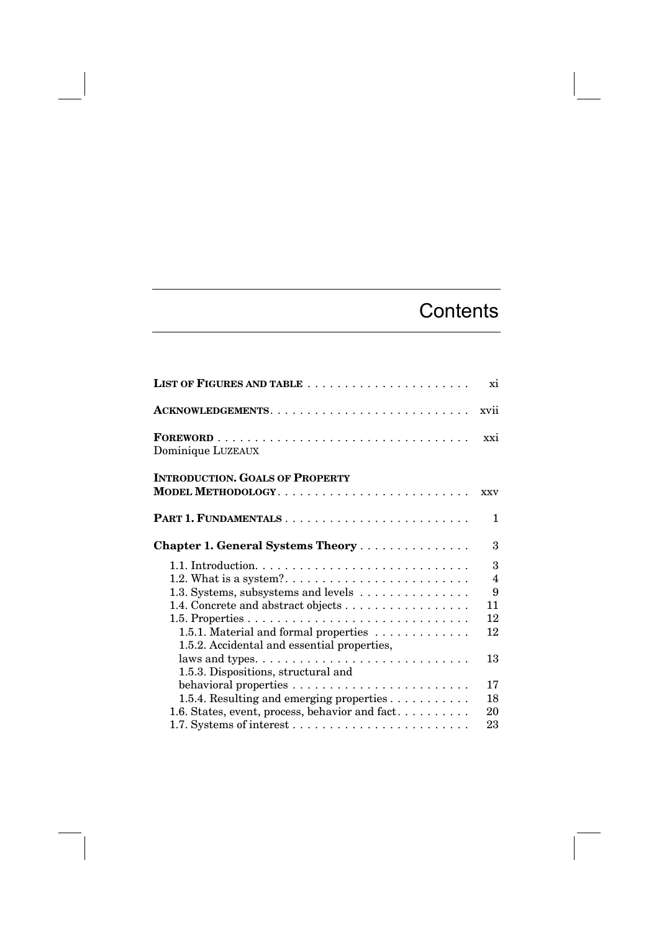## **Contents**

|                                                                                      | xi                  |
|--------------------------------------------------------------------------------------|---------------------|
|                                                                                      | xvii                |
| Dominique LUZEAUX                                                                    | xxi                 |
| <b>INTRODUCTION. GOALS OF PROPERTY</b>                                               | <b>XXV</b>          |
|                                                                                      | $\mathbf{1}$        |
|                                                                                      |                     |
| Chapter 1. General Systems Theory                                                    | 3                   |
|                                                                                      | 3                   |
| 1.3. Systems, subsystems and levels                                                  | $\overline{4}$<br>9 |
| 1.4. Concrete and abstract objects                                                   | 11                  |
|                                                                                      | 12                  |
| 1.5.1. Material and formal properties<br>1.5.2. Accidental and essential properties, | 12                  |
| 1.5.3. Dispositions, structural and                                                  | 13                  |
|                                                                                      | 17                  |
| 1.5.4. Resulting and emerging properties                                             | 18                  |
| 1.6. States, event, process, behavior and fact                                       | 20                  |
|                                                                                      | 23                  |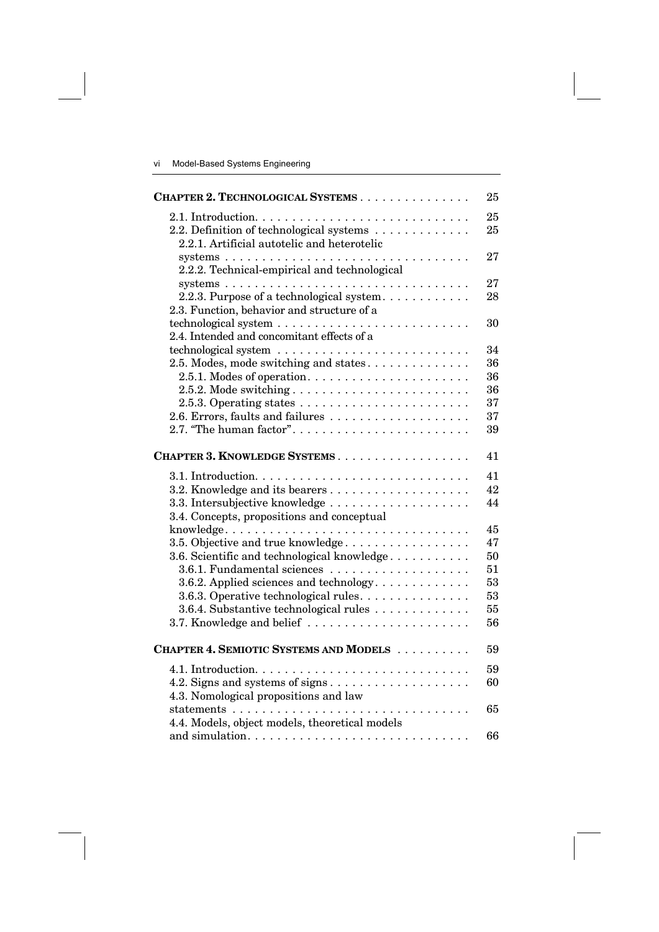| CHAPTER 2. TECHNOLOGICAL SYSTEMS                                                        | 25       |
|-----------------------------------------------------------------------------------------|----------|
| 2.2. Definition of technological systems<br>2.2.1. Artificial autotelic and heterotelic | 25<br>25 |
| 2.2.2. Technical-empirical and technological                                            | 27       |
|                                                                                         | 27       |
| 2.2.3. Purpose of a technological system<br>2.3. Function, behavior and structure of a  | 28       |
|                                                                                         | 30       |
| 2.4. Intended and concomitant effects of a                                              |          |
|                                                                                         | 34       |
| 2.5. Modes, mode switching and states                                                   | 36       |
|                                                                                         | 36       |
|                                                                                         | 36       |
| 2.5.3. Operating states $\ldots \ldots \ldots \ldots \ldots \ldots \ldots$              | 37       |
|                                                                                         | 37       |
| 2.7. "The human factor"                                                                 | 39       |
| CHAPTER 3. KNOWLEDGE SYSTEMS                                                            | 41       |
|                                                                                         | 41       |
|                                                                                         | 42       |
|                                                                                         | 44       |
| 3.4. Concepts, propositions and conceptual                                              |          |
|                                                                                         | 45       |
| 3.5. Objective and true knowledge                                                       | 47       |
| 3.6. Scientific and technological knowledge                                             | 50       |
| 3.6.1. Fundamental sciences                                                             | 51       |
| 3.6.2. Applied sciences and technology                                                  | 53       |
| 3.6.3. Operative technological rules.                                                   | 53       |
| 3.6.4. Substantive technological rules                                                  | 55       |
| 3.7. Knowledge and belief                                                               | 56       |
| CHAPTER 4. SEMIOTIC SYSTEMS AND MODELS                                                  | 59       |
|                                                                                         | 59       |
|                                                                                         | 60       |
| 4.3. Nomological propositions and law                                                   |          |
| 4.4. Models, object models, theoretical models                                          | 65       |
|                                                                                         | 66       |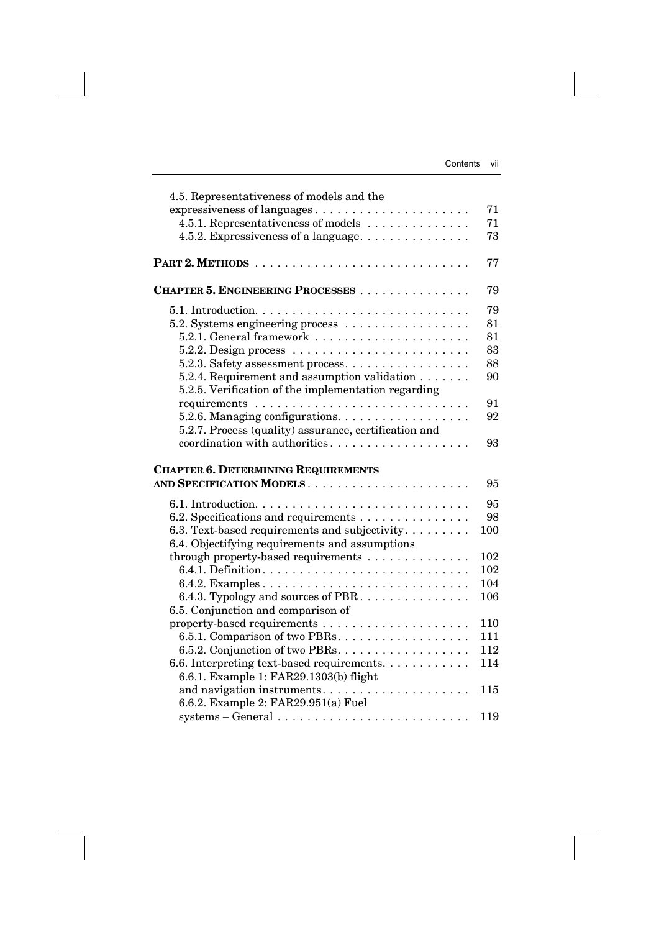| 4.5. Representativeness of models and the                                                                              |     |
|------------------------------------------------------------------------------------------------------------------------|-----|
| expressiveness of languages                                                                                            | 71  |
| 4.5.1. Representativeness of models                                                                                    | 71  |
| 4.5.2. Expressiveness of a language                                                                                    | 73  |
|                                                                                                                        | 77  |
| CHAPTER 5. ENGINEERING PROCESSES                                                                                       | 79  |
|                                                                                                                        | 79  |
| 5.2. Systems engineering process                                                                                       | 81  |
|                                                                                                                        | 81  |
| 5.2.2. Design process $\ldots \ldots \ldots \ldots \ldots \ldots \ldots$                                               | 83  |
| 5.2.3. Safety assessment process                                                                                       | 88  |
| 5.2.4. Requirement and assumption validation                                                                           | 90  |
| 5.2.5. Verification of the implementation regarding                                                                    |     |
|                                                                                                                        | 91  |
| 5.2.6. Managing configurations.                                                                                        | 92  |
| 5.2.7. Process (quality) assurance, certification and                                                                  |     |
| coordination with authorities                                                                                          | 93  |
|                                                                                                                        |     |
|                                                                                                                        |     |
| <b>CHAPTER 6. DETERMINING REQUIREMENTS</b>                                                                             |     |
|                                                                                                                        | 95  |
|                                                                                                                        | 95  |
| 6.2. Specifications and requirements                                                                                   | 98  |
| 6.3. Text-based requirements and subjectivity                                                                          | 100 |
| 6.4. Objectifying requirements and assumptions                                                                         |     |
| through property-based requirements                                                                                    | 102 |
|                                                                                                                        | 102 |
|                                                                                                                        | 104 |
| 6.4.3. Typology and sources of PBR                                                                                     | 106 |
| 6.5. Conjunction and comparison of                                                                                     |     |
|                                                                                                                        | 110 |
| 6.5.1. Comparison of two PBRs.                                                                                         | 111 |
| 6.5.2. Conjunction of two PBRs.                                                                                        | 112 |
| 6.6. Interpreting text-based requirements.                                                                             | 114 |
| 6.6.1. Example 1: FAR29.1303(b) flight                                                                                 |     |
| and navigation instruments                                                                                             | 115 |
| 6.6.2. Example 2: FAR29.951(a) Fuel<br>$systems - General \dots \dots \dots \dots \dots \dots \dots \dots \dots \dots$ | 119 |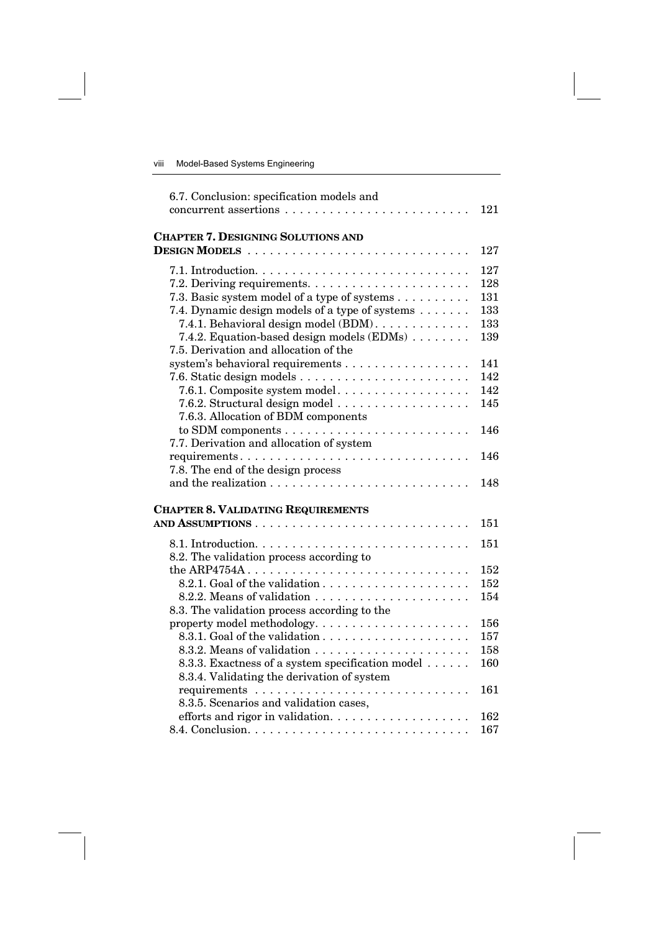| 6.7. Conclusion: specification models and                | 121 |
|----------------------------------------------------------|-----|
| <b>CHAPTER 7. DESIGNING SOLUTIONS AND</b>                |     |
|                                                          | 127 |
|                                                          | 127 |
|                                                          | 128 |
| 7.3. Basic system model of a type of systems             | 131 |
| 7.4. Dynamic design models of a type of systems          | 133 |
| 7.4.1. Behavioral design model (BDM).                    | 133 |
| 7.4.2. Equation-based design models $(EDMs) \dots \dots$ | 139 |
| 7.5. Derivation and allocation of the                    |     |
| system's behavioral requirements                         | 141 |
|                                                          | 142 |
| 7.6.1. Composite system model                            | 142 |
|                                                          | 145 |
| 7.6.3. Allocation of BDM components                      |     |
|                                                          | 146 |
| 7.7. Derivation and allocation of system                 |     |
|                                                          | 146 |
| 7.8. The end of the design process                       |     |
|                                                          | 148 |
| <b>CHAPTER 8. VALIDATING REQUIREMENTS</b>                |     |
|                                                          | 151 |
|                                                          | 151 |
| 8.2. The validation process according to                 |     |
|                                                          | 152 |
|                                                          | 152 |
|                                                          | 154 |
| 8.3. The validation process according to the             |     |
|                                                          | 156 |
|                                                          | 157 |
|                                                          | 158 |
| 8.3.3. Exactness of a system specification model         | 160 |
| 8.3.4. Validating the derivation of system               |     |
|                                                          | 161 |
| 8.3.5. Scenarios and validation cases,                   |     |
|                                                          | 162 |
|                                                          | 167 |
|                                                          |     |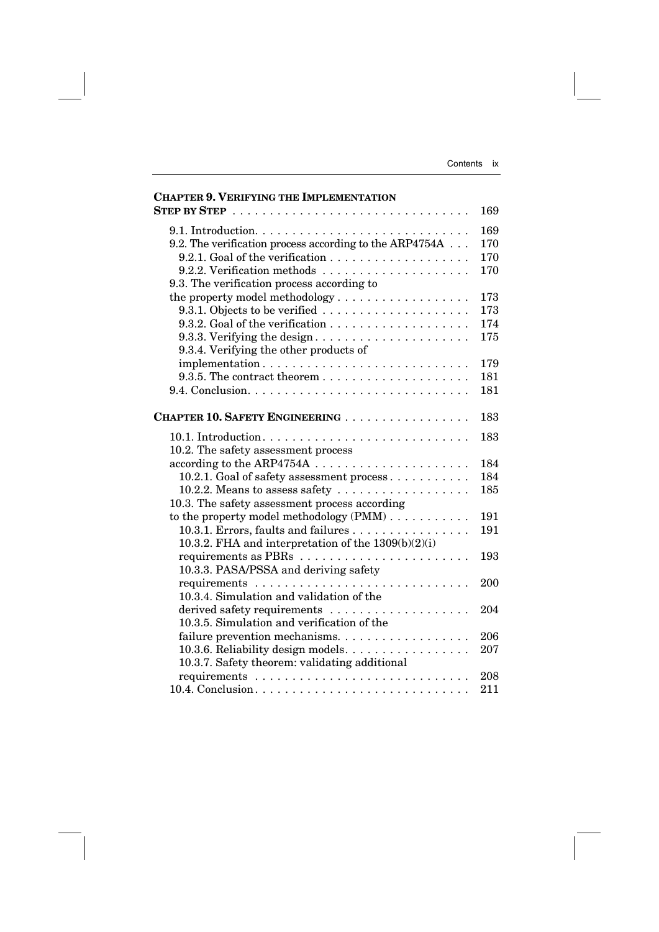| <b>CHAPTER 9. VERIFYING THE IMPLEMENTATION</b>                                              |     |
|---------------------------------------------------------------------------------------------|-----|
| STEP BY STEP $\ldots \ldots \ldots \ldots \ldots \ldots \ldots \ldots \ldots \ldots \ldots$ | 169 |
|                                                                                             | 169 |
| 9.2. The verification process according to the ARP4754A                                     | 170 |
|                                                                                             | 170 |
|                                                                                             | 170 |
| 9.3. The verification process according to                                                  |     |
| the property model methodology                                                              | 173 |
|                                                                                             | 173 |
|                                                                                             | 174 |
| 9.3.3. Verifying the design                                                                 | 175 |
| 9.3.4. Verifying the other products of                                                      |     |
| implementation                                                                              | 179 |
|                                                                                             | 181 |
|                                                                                             | 181 |
| <b>CHAPTER 10. SAFETY ENGINEERING </b>                                                      | 183 |
|                                                                                             | 183 |
| 10.2. The safety assessment process                                                         |     |
|                                                                                             | 184 |
| 10.2.1. Goal of safety assessment process                                                   | 184 |
| 10.2.2. Means to assess safety                                                              | 185 |
| 10.3. The safety assessment process according                                               |     |
| to the property model methodology $(PMM) \dots \dots \dots$                                 | 191 |
| 10.3.1. Errors, faults and failures                                                         | 191 |
| 10.3.2. FHA and interpretation of the $1309(b)(2)(i)$                                       |     |
|                                                                                             | 193 |
| 10.3.3. PASA/PSSA and deriving safety                                                       |     |
|                                                                                             | 200 |
| 10.3.4. Simulation and validation of the                                                    |     |
|                                                                                             | 204 |
| 10.3.5. Simulation and verification of the                                                  |     |
| failure prevention mechanisms                                                               | 206 |
| 10.3.6. Reliability design models.                                                          | 207 |
| 10.3.7. Safety theorem: validating additional                                               |     |
|                                                                                             | 208 |
|                                                                                             | 211 |